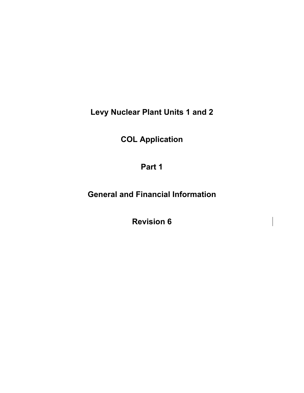**Levy Nuclear Plant Units 1 and 2** 

**COL Application** 

**Part 1** 

**General and Financial Information** 

**Revision 6**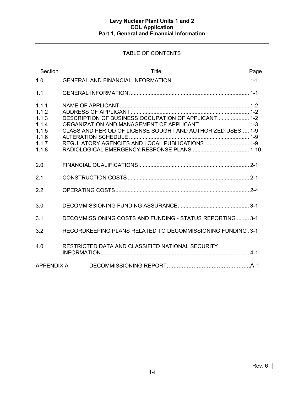# TABLE OF CONTENTS

| Section                                                              | Title                                                                                                                                                                 | Page |
|----------------------------------------------------------------------|-----------------------------------------------------------------------------------------------------------------------------------------------------------------------|------|
| 1.0                                                                  |                                                                                                                                                                       |      |
| 1.1                                                                  |                                                                                                                                                                       |      |
| 1.1.1<br>1.1.2<br>1.1.3<br>1.1.4<br>1.1.5<br>1.1.6<br>1.1.7<br>1.1.8 | DESCRIPTION OF BUSINESS OCCUPATION OF APPLICANT 1-2<br>CLASS AND PERIOD OF LICENSE SOUGHT AND AUTHORIZED USES  1-9<br>REGULATORY AGENCIES AND LOCAL PUBLICATIONS  1-9 |      |
| 2.0                                                                  |                                                                                                                                                                       |      |
| 2.1                                                                  |                                                                                                                                                                       |      |
| 2.2                                                                  |                                                                                                                                                                       |      |
| 3.0                                                                  |                                                                                                                                                                       |      |
| 3.1                                                                  | DECOMMISSIONING COSTS AND FUNDING - STATUS REPORTING  3-1                                                                                                             |      |
| 3.2                                                                  | RECORDKEEPING PLANS RELATED TO DECOMMISSIONING FUNDING . 3-1                                                                                                          |      |
| 4.0                                                                  | RESTRICTED DATA AND CLASSIFIED NATIONAL SECURITY                                                                                                                      |      |
| APPENDIX A                                                           |                                                                                                                                                                       |      |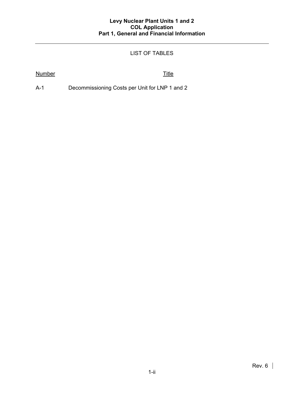# LIST OF TABLES

### Number Title

A-1 Decommissioning Costs per Unit for LNP 1 and 2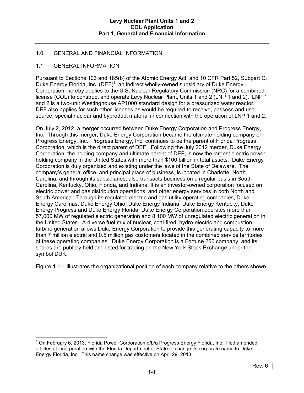### 1.0 GENERAL AND FINANCIAL INFORMATION

### 1.1 GENERAL INFORMATION

Pursuant to Sections 103 and 185(b) of the Atomic Energy Act, and 10 CFR Part 52, Subpart C, Duke Energy Florida, Inc.  $(DEF)^1$ , an indirect wholly-owned subsidiary of Duke Energy Corporation, hereby applies to the U.S. Nuclear Regulatory Commission (NRC) for a combined license (COL) to construct and operate Levy Nuclear Plant, Units 1 and 2 (LNP 1 and 2). LNP 1 and 2 is a two-unit Westinghouse AP1000 standard design for a pressurized water reactor. DEF also applies for such other licenses as would be required to receive, possess and use source, special nuclear and byproduct material in connection with the operation of LNP 1 and 2.

On July 2, 2012, a merger occurred between Duke Energy Corporation and Progress Energy, Inc. Through this merger, Duke Energy Corporation became the ultimate holding company of Progress Energy, Inc. Progress Energy, Inc. continues to be the parent of Florida Progress Corporation, which is the direct parent of DEF. Following the July 2012 merger, Duke Energy Corporation, the holding company and ultimate parent of DEF, is now the largest electric power holding company in the United States with more than \$100 billion in total assets. Duke Energy Corporation is duly organized and existing under the laws of the State of Delaware. The company's general office, and principal place of business, is located in Charlotte, North Carolina, and through its subsidiaries, also transacts business on a regular basis in South Carolina, Kentucky, Ohio, Florida, and Indiana. It is an investor-owned corporation focused on electric power and gas distribution operations, and other energy services in both North and South America. Through its regulated electric and gas utility operating companies, Duke Energy Carolinas, Duke Energy Ohio, Duke Energy Indiana, Duke Energy Kentucky, Duke Energy Progress and Duke Energy Florida, Duke Energy Corporation operates more than 57,000 MW of regulated electric generation and 8,100 MW of unregulated electric generation in the United States. A diverse fuel mix of nuclear, coal-fired, hydro-electric and combustionturbine generation allows Duke Energy Corporation to provide this generating capacity to more than 7 million electric and 0.5 million gas customers located in the combined service territories of these operating companies. Duke Energy Corporation is a Fortune 250 company, and its shares are publicly held and listed for trading on the New York Stock Exchange under the symbol DUK.

Figure 1.1-1 illustrates the organizational position of each company relative to the others shown.

 $\overline{a}$  $1$  On February 6, 2013, Florida Power Corporation d/b/a Progress Energy Florida, Inc., filed amended articles of incorporation with the Florida Department of State to change its corporate name to Duke Energy Florida, Inc. This name change was effective on April 29, 2013.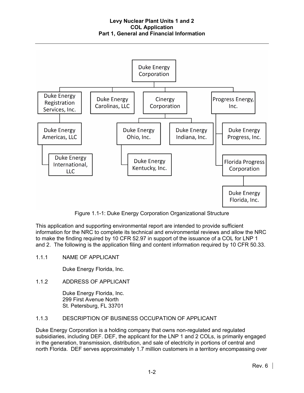

Figure 1.1-1: Duke Energy Corporation Organizational Structure

This application and supporting environmental report are intended to provide sufficient information for the NRC to complete its technical and environmental reviews and allow the NRC to make the finding required by 10 CFR 52.97 in support of the issuance of a COL for LNP 1 and 2. The following is the application filing and content information required by 10 CFR 50.33.

1.1.1 NAME OF APPLICANT

Duke Energy Florida, Inc.

1.1.2 ADDRESS OF APPLICANT

Duke Energy Florida, Inc. 299 First Avenue North St. Petersburg, FL 33701

## 1.1.3 DESCRIPTION OF BUSINESS OCCUPATION OF APPLICANT

Duke Energy Corporation is a holding company that owns non-regulated and regulated subsidiaries, including DEF. DEF, the applicant for the LNP 1 and 2 COLs, is primarily engaged in the generation, transmission, distribution, and sale of electricity in portions of central and north Florida. DEF serves approximately 1.7 million customers in a territory encompassing over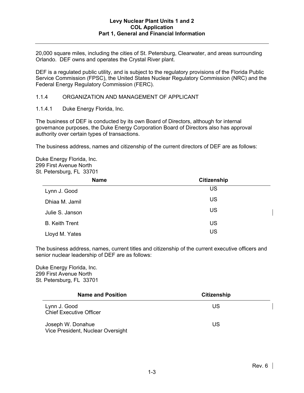20,000 square miles, including the cities of St. Petersburg, Clearwater, and areas surrounding Orlando. DEF owns and operates the Crystal River plant.

DEF is a regulated public utility, and is subject to the regulatory provisions of the Florida Public Service Commission (FPSC), the United States Nuclear Regulatory Commission (NRC) and the Federal Energy Regulatory Commission (FERC).

1.1.4 ORGANIZATION AND MANAGEMENT OF APPLICANT

1.1.4.1 Duke Energy Florida, Inc.

The business of DEF is conducted by its own Board of Directors, although for internal governance purposes, the Duke Energy Corporation Board of Directors also has approval authority over certain types of transactions.

The business address, names and citizenship of the current directors of DEF are as follows:

Duke Energy Florida, Inc. 299 First Avenue North St. Petersburg, FL 33701

| <b>Name</b>           | <b>Citizenship</b> |
|-----------------------|--------------------|
| Lynn J. Good          | US                 |
| Dhiaa M. Jamil        | US                 |
| Julie S. Janson       | US                 |
| <b>B.</b> Keith Trent | US                 |
| Lloyd M. Yates        | US                 |

The business address, names, current titles and citizenship of the current executive officers and senior nuclear leadership of DEF are as follows:

Duke Energy Florida, Inc. 299 First Avenue North St. Petersburg, FL 33701

| <b>Name and Position</b>                               | <b>Citizenship</b> |  |
|--------------------------------------------------------|--------------------|--|
| Lynn J. Good<br><b>Chief Executive Officer</b>         | US                 |  |
| Joseph W. Donahue<br>Vice President, Nuclear Oversight | US                 |  |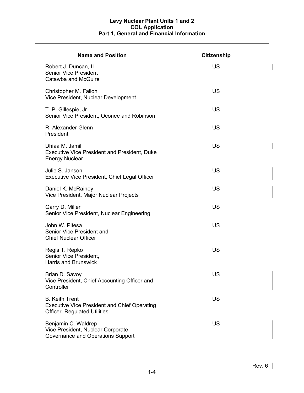| <b>Name and Position</b>                                                                                            | <b>Citizenship</b> |  |
|---------------------------------------------------------------------------------------------------------------------|--------------------|--|
| Robert J. Duncan, II<br><b>Senior Vice President</b><br>Catawba and McGuire                                         | US                 |  |
| Christopher M. Fallon<br>Vice President, Nuclear Development                                                        | US                 |  |
| T. P. Gillespie, Jr.<br>Senior Vice President, Oconee and Robinson                                                  | US                 |  |
| R. Alexander Glenn<br>President                                                                                     | <b>US</b>          |  |
| Dhiaa M. Jamil<br><b>Executive Vice President and President, Duke</b><br><b>Energy Nuclear</b>                      | US                 |  |
| Julie S. Janson<br>Executive Vice President, Chief Legal Officer                                                    | <b>US</b>          |  |
| Daniel K. McRainey<br>Vice President, Major Nuclear Projects                                                        | US                 |  |
| Garry D. Miller<br>Senior Vice President, Nuclear Engineering                                                       | US                 |  |
| John W. Pitesa<br>Senior Vice President and<br><b>Chief Nuclear Officer</b>                                         | US                 |  |
| Regis T. Repko<br>Senior Vice President,<br><b>Harris and Brunswick</b>                                             | US                 |  |
| Brian D. Savoy<br>Vice President, Chief Accounting Officer and<br>Controller                                        | US                 |  |
| <b>B.</b> Keith Trent<br><b>Executive Vice President and Chief Operating</b><br><b>Officer, Regulated Utilities</b> | <b>US</b>          |  |
| Benjamin C. Waldrep<br>Vice President, Nuclear Corporate<br>Governance and Operations Support                       | US                 |  |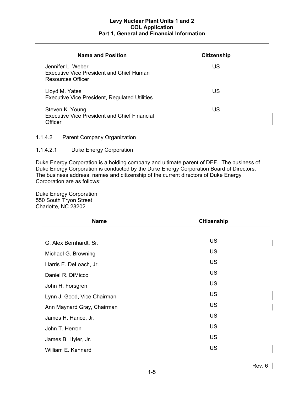| <b>Name and Position</b>                                                                         | <b>Citizenship</b> |
|--------------------------------------------------------------------------------------------------|--------------------|
| Jennifer L. Weber<br><b>Executive Vice President and Chief Human</b><br><b>Resources Officer</b> | US                 |
| Lloyd M. Yates<br><b>Executive Vice President, Regulated Utilities</b>                           | US                 |
| Steven K. Young<br><b>Executive Vice President and Chief Financial</b><br>Officer                | US                 |

1.1.4.2 Parent Company Organization

### 1.1.4.2.1 Duke Energy Corporation

Duke Energy Corporation is a holding company and ultimate parent of DEF. The business of Duke Energy Corporation is conducted by the Duke Energy Corporation Board of Directors. The business address, names and citizenship of the current directors of Duke Energy Corporation are as follows:

Duke Energy Corporation 550 South Tryon Street Charlotte, NC 28202

| <b>Name</b>                 | <b>Citizenship</b> |  |
|-----------------------------|--------------------|--|
|                             |                    |  |
| G. Alex Bernhardt, Sr.      | <b>US</b>          |  |
| Michael G. Browning         | <b>US</b>          |  |
| Harris E. DeLoach, Jr.      | <b>US</b>          |  |
| Daniel R. DiMicco           | <b>US</b>          |  |
| John H. Forsgren            | <b>US</b>          |  |
| Lynn J. Good, Vice Chairman | <b>US</b>          |  |
| Ann Maynard Gray, Chairman  | <b>US</b>          |  |
| James H. Hance, Jr.         | <b>US</b>          |  |
| John T. Herron              | <b>US</b>          |  |
| James B. Hyler, Jr.         | <b>US</b>          |  |
| William E. Kennard          | <b>US</b>          |  |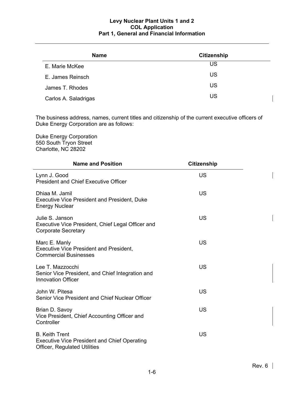| <b>Name</b>          | <b>Citizenship</b> |
|----------------------|--------------------|
| E. Marie McKee       | US                 |
| E. James Reinsch     | US                 |
| James T. Rhodes      | US                 |
| Carlos A. Saladrigas | US                 |

The business address, names, current titles and citizenship of the current executive officers of Duke Energy Corporation are as follows:

Duke Energy Corporation 550 South Tryon Street Charlotte, NC 28202

| <b>Name and Position</b>                                                                                            | <b>Citizenship</b> |
|---------------------------------------------------------------------------------------------------------------------|--------------------|
| Lynn J. Good<br><b>President and Chief Executive Officer</b>                                                        | <b>US</b>          |
| Dhiaa M. Jamil<br><b>Executive Vice President and President, Duke</b><br><b>Energy Nuclear</b>                      | <b>US</b>          |
| Julie S. Janson<br>Executive Vice President, Chief Legal Officer and<br><b>Corporate Secretary</b>                  | <b>US</b>          |
| Marc E. Manly<br><b>Executive Vice President and President,</b><br><b>Commercial Businesses</b>                     | <b>US</b>          |
| Lee T. Mazzocchi<br>Senior Vice President, and Chief Integration and<br><b>Innovation Officer</b>                   | <b>US</b>          |
| John W. Pitesa<br>Senior Vice President and Chief Nuclear Officer                                                   | <b>US</b>          |
| Brian D. Savoy<br>Vice President, Chief Accounting Officer and<br>Controller                                        | <b>US</b>          |
| <b>B.</b> Keith Trent<br><b>Executive Vice President and Chief Operating</b><br><b>Officer, Regulated Utilities</b> | <b>US</b>          |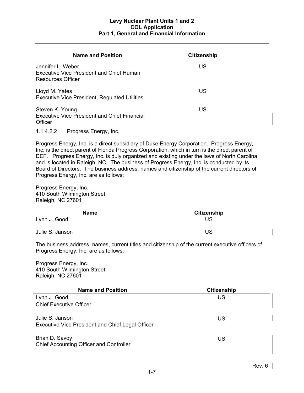| <b>Name and Position</b>                                                                         | <b>Citizenship</b> |
|--------------------------------------------------------------------------------------------------|--------------------|
| Jennifer L. Weber<br><b>Executive Vice President and Chief Human</b><br><b>Resources Officer</b> | US                 |
| Lloyd M. Yates<br><b>Executive Vice President, Regulated Utilities</b>                           | US                 |
| Steven K. Young<br><b>Executive Vice President and Chief Financial</b><br>Officer                | US                 |

1.1.4.2.2 Progress Energy, Inc.

Progress Energy, Inc. is a direct subsidiary of Duke Energy Corporation. Progress Energy, Inc. is the direct parent of Florida Progress Corporation, which in turn is the direct parent of DEF. Progress Energy, Inc. is duly organized and existing under the laws of North Carolina, and is located in Raleigh, NC. The business of Progress Energy, Inc. is conducted by its Board of Directors. The business address, names and citizenship of the current directors of Progress Energy, Inc. are as follows:

Progress Energy, Inc. 410 South Wilmington Street Raleigh, NC 27601

| <b>Name</b>     | <b>Citizenship</b> |  |
|-----------------|--------------------|--|
| Lynn J. Good    | <b>US</b>          |  |
| Julie S. Janson | US                 |  |

The business address, names, current titles and citizenship of the current executive officers of Progress Energy, Inc. are as follows:

Progress Energy, Inc. 410 South Wilmington Street Raleigh, NC 27601

| <b>Name and Position</b>                                                   | <b>Citizenship</b> |  |
|----------------------------------------------------------------------------|--------------------|--|
| Lynn J. Good                                                               | US                 |  |
| <b>Chief Executive Officer</b>                                             |                    |  |
| Julie S. Janson<br><b>Executive Vice President and Chief Legal Officer</b> | US                 |  |
| Brian D. Savoy<br><b>Chief Accounting Officer and Controller</b>           | US                 |  |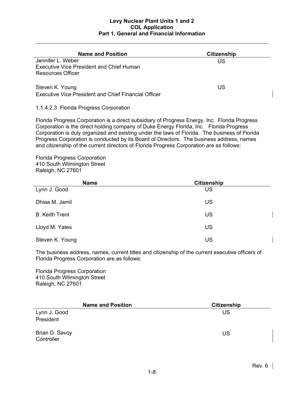| <b>Name and Position</b>                                                                      | <b>Citizenship</b> |
|-----------------------------------------------------------------------------------------------|--------------------|
| Jennifer L. Weber<br><b>Executive Vice President and Chief Human</b><br>Resources Officer     | US                 |
| Steven K. Young<br>Executive Vice President and Chief Financial Officer                       | US                 |
| 1.1.4.2.3 Florida Progress Corporation                                                        |                    |
| Florida Progress Corporation is a direct subsidiary of Progress Energy, Inc. Florida Progress |                    |

Corporation is the direct holding company of Duke Energy Florida, Inc. Florida Progress Corporation is duly organized and existing under the laws of Florida. The business of Florida Progress Corporation is conducted by its Board of Directors. The business address, names and citizenship of the current directors of Florida Progress Corporation are as follows:

Florida Progress Corporation 410 South Wilmington Street Raleigh, NC 27601

| <b>Name</b>           | Citizenship |  |  |  |  |
|-----------------------|-------------|--|--|--|--|
| Lynn J. Good          | US          |  |  |  |  |
| Dhiaa M. Jamil        | US          |  |  |  |  |
| <b>B. Keith Trent</b> | US          |  |  |  |  |
| Lloyd M. Yates        | US          |  |  |  |  |
| Steven K. Young       | US          |  |  |  |  |

The business address, names, current titles and citizenship of the current executive officers of Florida Progress Corporation are as follows:

Florida Progress Corporation 410 South Wilmington Street Raleigh, NC 27601

| <b>Name and Position</b>     | <b>Citizenship</b> |
|------------------------------|--------------------|
| Lynn J. Good                 | US                 |
| President                    |                    |
| Brian D. Savoy<br>Controller | US                 |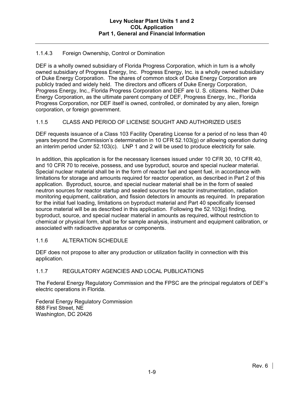### 1.1.4.3 Foreign Ownership, Control or Domination

DEF is a wholly owned subsidiary of Florida Progress Corporation, which in turn is a wholly owned subsidiary of Progress Energy, Inc. Progress Energy, Inc. is a wholly owned subsidiary of Duke Energy Corporation. The shares of common stock of Duke Energy Corporation are publicly traded and widely held. The directors and officers of Duke Energy Corporation, Progress Energy, Inc., Florida Progress Corporation and DEF are U. S. citizens. Neither Duke Energy Corporation, as the ultimate parent company of DEF, Progress Energy, Inc., Florida Progress Corporation, nor DEF itself is owned, controlled, or dominated by any alien, foreign corporation, or foreign government.

### 1.1.5 CLASS AND PERIOD OF LICENSE SOUGHT AND AUTHORIZED USES

DEF requests issuance of a Class 103 Facility Operating License for a period of no less than 40 years beyond the Commission's determination in 10 CFR 52.103(g) or allowing operation during an interim period under 52.103(c). LNP 1 and 2 will be used to produce electricity for sale.

In addition, this application is for the necessary licenses issued under 10 CFR 30, 10 CFR 40, and 10 CFR 70 to receive, possess, and use byproduct, source and special nuclear material. Special nuclear material shall be in the form of reactor fuel and spent fuel, in accordance with limitations for storage and amounts required for reactor operation, as described in Part 2 of this application. Byproduct, source, and special nuclear material shall be in the form of sealed neutron sources for reactor startup and sealed sources for reactor instrumentation, radiation monitoring equipment, calibration, and fission detectors in amounts as required. In preparation for the initial fuel loading, limitations on byproduct material and Part 40 specifically licensed source material will be as described in this application. Following the 52.103(g) finding, byproduct, source, and special nuclear material in amounts as required, without restriction to chemical or physical form, shall be for sample analysis, instrument and equipment calibration, or associated with radioactive apparatus or components.

### 1.1.6 ALTERATION SCHEDULE

DEF does not propose to alter any production or utilization facility in connection with this application.

### 1.1.7 REGULATORY AGENCIES AND LOCAL PUBLICATIONS

The Federal Energy Regulatory Commission and the FPSC are the principal regulators of DEF's electric operations in Florida.

Federal Energy Regulatory Commission 888 First Street, NE Washington, DC 20426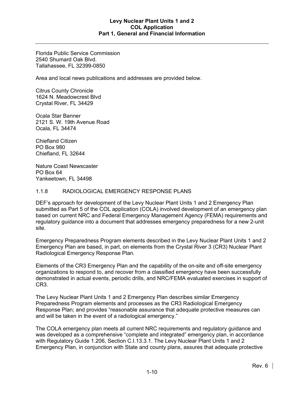Florida Public Service Commission 2540 Shumard Oak Blvd. Tallahassee, FL 32399-0850

Area and local news publications and addresses are provided below.

Citrus County Chronicle 1624 N. Meadowcrest Blvd Crystal River, FL 34429

Ocala Star Banner 2121 S. W. 19th Avenue Road Ocala, FL 34474

Chiefland Citizen PO Box 980 Chiefland, FL 32644

Nature Coast Newscaster PO Box 64 Yankeetown, FL 34498

### 1.1.8 RADIOLOGICAL EMERGENCY RESPONSE PLANS

DEF's approach for development of the Levy Nuclear Plant Units 1 and 2 Emergency Plan submitted as Part 5 of the COL application (COLA) involved development of an emergency plan based on current NRC and Federal Emergency Management Agency (FEMA) requirements and regulatory guidance into a document that addresses emergency preparedness for a new 2-unit site.

Emergency Preparedness Program elements described in the Levy Nuclear Plant Units 1 and 2 Emergency Plan are based, in part, on elements from the Crystal River 3 (CR3) Nuclear Plant Radiological Emergency Response Plan.

Elements of the CR3 Emergency Plan and the capability of the on-site and off-site emergency organizations to respond to, and recover from a classified emergency have been successfully demonstrated in actual events, periodic drills, and NRC/FEMA evaluated exercises in support of CR3.

The Levy Nuclear Plant Units 1 and 2 Emergency Plan describes similar Emergency Preparedness Program elements and processes as the CR3 Radiological Emergency Response Plan; and provides "reasonable assurance that adequate protective measures can and will be taken in the event of a radiological emergency."

The COLA emergency plan meets all current NRC requirements and regulatory guidance and was developed as a comprehensive "complete and integrated" emergency plan, in accordance with Regulatory Guide 1.206, Section C.I.13.3.1. The Levy Nuclear Plant Units 1 and 2 Emergency Plan, in conjunction with State and county plans, assures that adequate protective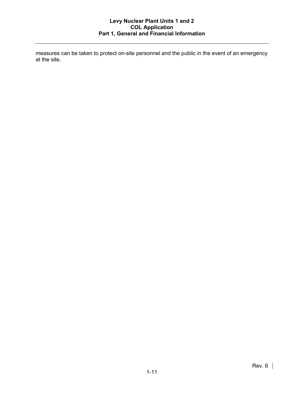measures can be taken to protect on-site personnel and the public in the event of an emergency at the site.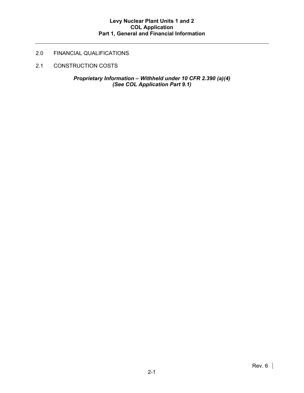# 2.0 FINANCIAL QUALIFICATIONS

2.1 CONSTRUCTION COSTS

*Proprietary Information – Withheld under 10 CFR 2.390 (a)(4) (See COL Application Part 9.1)*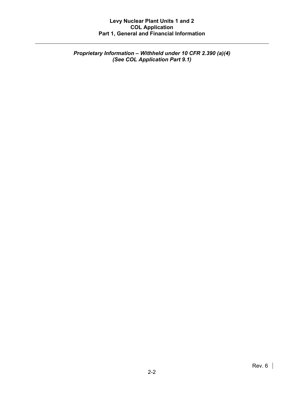*Proprietary Information – Withheld under 10 CFR 2.390 (a)(4) (See COL Application Part 9.1)*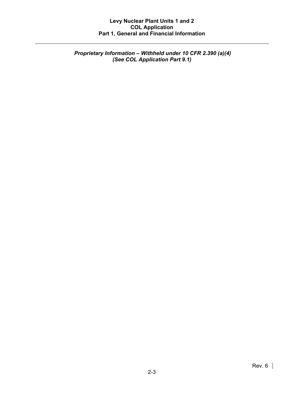*Proprietary Information – Withheld under 10 CFR 2.390 (a)(4) (See COL Application Part 9.1)*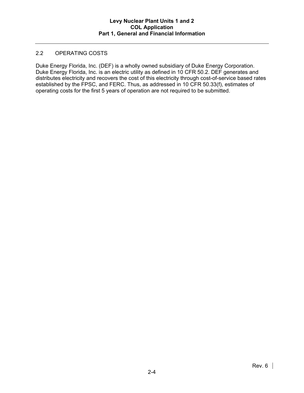### 2.2 OPERATING COSTS

Duke Energy Florida, Inc. (DEF) is a wholly owned subsidiary of Duke Energy Corporation. Duke Energy Florida, Inc. is an electric utility as defined in 10 CFR 50.2. DEF generates and distributes electricity and recovers the cost of this electricity through cost-of-service based rates established by the FPSC, and FERC. Thus, as addressed in 10 CFR 50.33(f), estimates of operating costs for the first 5 years of operation are not required to be submitted.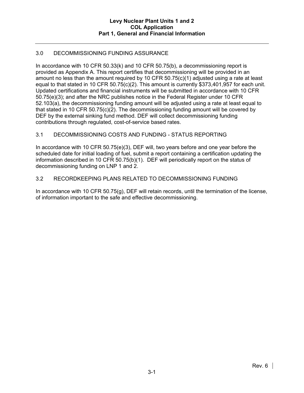## 3.0 DECOMMISSIONING FUNDING ASSURANCE

In accordance with 10 CFR 50.33(k) and 10 CFR 50.75(b), a decommissioning report is provided as Appendix A. This report certifies that decommissioning will be provided in an amount no less than the amount required by 10 CFR 50.75(c)(1) adjusted using a rate at least equal to that stated in 10 CFR 50.75(c)(2). This amount is currently \$373,401,957 for each unit. Updated certifications and financial instruments will be submitted in accordance with 10 CFR 50.75(e)(3); and after the NRC publishes notice in the Federal Register under 10 CFR 52.103(a), the decommissioning funding amount will be adjusted using a rate at least equal to that stated in 10 CFR 50.75(c)(2). The decommissioning funding amount will be covered by DEF by the external sinking fund method. DEF will collect decommissioning funding contributions through regulated, cost-of-service based rates.

## 3.1 DECOMMISSIONING COSTS AND FUNDING - STATUS REPORTING

In accordance with 10 CFR 50.75(e)(3), DEF will, two years before and one year before the scheduled date for initial loading of fuel, submit a report containing a certification updating the information described in 10 CFR 50.75(b)(1). DEF will periodically report on the status of decommissioning funding on LNP 1 and 2.

### 3.2 RECORDKEEPING PLANS RELATED TO DECOMMISSIONING FUNDING

In accordance with 10 CFR 50.75(g), DEF will retain records, until the termination of the license, of information important to the safe and effective decommissioning.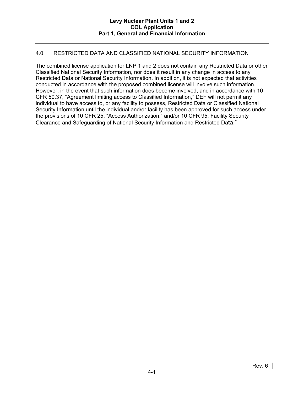### 4.0 RESTRICTED DATA AND CLASSIFIED NATIONAL SECURITY INFORMATION

The combined license application for LNP 1 and 2 does not contain any Restricted Data or other Classified National Security Information, nor does it result in any change in access to any Restricted Data or National Security Information. In addition, it is not expected that activities conducted in accordance with the proposed combined license will involve such information. However, in the event that such information does become involved, and in accordance with 10 CFR 50.37, "Agreement limiting access to Classified Information," DEF will not permit any individual to have access to, or any facility to possess, Restricted Data or Classified National Security Information until the individual and/or facility has been approved for such access under the provisions of 10 CFR 25, "Access Authorization," and/or 10 CFR 95, Facility Security Clearance and Safeguarding of National Security Information and Restricted Data."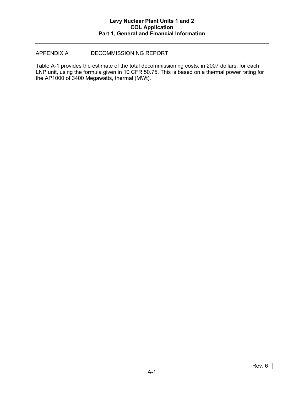### APPENDIX A DECOMMISSIONING REPORT

Table A-1 provides the estimate of the total decommissioning costs, in 2007 dollars, for each LNP unit, using the formula given in 10 CFR 50.75. This is based on a thermal power rating for the AP1000 of 3400 Megawatts, thermal (MWt).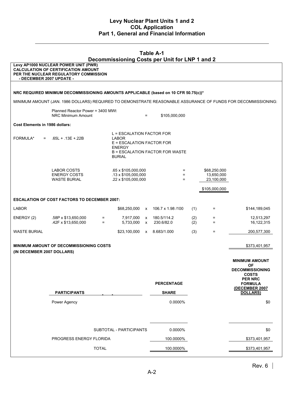| <b>Table A-1</b><br>Decommissioning Costs per Unit for LNP 1 and 2                                            |                                                                                                                             |              |                                                                                                                                      |                   |                           |            |                                          |                                        |  |  |
|---------------------------------------------------------------------------------------------------------------|-----------------------------------------------------------------------------------------------------------------------------|--------------|--------------------------------------------------------------------------------------------------------------------------------------|-------------------|---------------------------|------------|------------------------------------------|----------------------------------------|--|--|
| - DECEMBER 2007 UPDATE -                                                                                      | Levy AP1000 NUCLEAR POWER UNIT (PWR)<br><b>CALCULATION OF CERTIFICATION AMOUNT</b><br>PER THE NUCLEAR REGULATORY COMMISSION |              |                                                                                                                                      |                   |                           |            |                                          |                                        |  |  |
|                                                                                                               |                                                                                                                             |              |                                                                                                                                      |                   |                           |            |                                          |                                        |  |  |
| NRC REQUIRED MINIMUM DECOMMISSIONING AMOUNTS APPLICABLE (based on 10 CFR 50.75(c))*                           |                                                                                                                             |              |                                                                                                                                      |                   |                           |            |                                          |                                        |  |  |
| MINIMUM AMOUNT (JAN. 1986 DOLLARS) REQUIRED TO DEMONSTRATE REASONABLE ASSURANCE OF FUNDS FOR DECOMMISSIONING: |                                                                                                                             |              |                                                                                                                                      |                   |                           |            |                                          |                                        |  |  |
|                                                                                                               | Planned Reactor Power = 3400 MWt<br>NRC Minimum Amount                                                                      |              |                                                                                                                                      | $\equiv$          | \$105,000,000             |            |                                          |                                        |  |  |
| Cost Elements in 1986 dollars:                                                                                |                                                                                                                             |              |                                                                                                                                      |                   |                           |            |                                          |                                        |  |  |
| FORMULA*<br>$=$                                                                                               | $.65L + .13E + .22B$                                                                                                        |              | L = ESCALATION FACTOR FOR<br>LABOR<br>E = ESCALATION FACTOR FOR<br><b>ENERGY</b><br>B = ESCALATION FACTOR FOR WASTE<br><b>BURIAL</b> |                   |                           |            |                                          |                                        |  |  |
|                                                                                                               | LABOR COSTS<br><b>ENERGY COSTS</b><br><b>WASTE BURIAL</b>                                                                   |              | .65 x \$105,000,000<br>$.13 \times $105,000,000$<br>.22 x \$105,000,000                                                              |                   | $=$<br>$=$<br>$=$         |            | \$68,250,000<br>13,650,000<br>23,100,000 |                                        |  |  |
|                                                                                                               |                                                                                                                             |              |                                                                                                                                      |                   |                           |            | \$105,000,000                            |                                        |  |  |
|                                                                                                               | <b>ESCALATION OF COST FACTORS TO DECEMBER 2007:</b>                                                                         |              |                                                                                                                                      |                   |                           |            |                                          |                                        |  |  |
| <b>LABOR</b>                                                                                                  |                                                                                                                             |              | \$68,250,000 x                                                                                                                       |                   | 106.7 x 1.98 /100         | (1)        | Ξ.                                       | \$144,189,045                          |  |  |
| ENERGY (2)                                                                                                    | .58P x \$13,650,000<br>.42F x \$13,650,000                                                                                  | $=$<br>$=$   | 7,917,000<br>5,733,000                                                                                                               | X<br>$\mathsf{x}$ | 180.5/114.2<br>230.6/82.0 | (2)<br>(2) | $=$<br>$=$                               | 12,513,297<br>16,122,315               |  |  |
| WASTE BURIAL                                                                                                  |                                                                                                                             |              | \$23,100,000                                                                                                                         |                   | x 8.683/1.000             | (3)        | Ξ.                                       | 200,577,300                            |  |  |
| <b>MINIMUM AMOUNT OF DECOMMISSIONING COSTS</b><br>\$373,401,957<br>(IN DECEMBER 2007 DOLLARS)                 |                                                                                                                             |              |                                                                                                                                      |                   |                           |            |                                          |                                        |  |  |
|                                                                                                               |                                                                                                                             |              |                                                                                                                                      |                   |                           |            |                                          | <b>MINIMUM AMOUNT</b><br><b>OF</b>     |  |  |
|                                                                                                               |                                                                                                                             |              |                                                                                                                                      |                   |                           |            |                                          | <b>DECOMMISSIONING</b><br><b>COSTS</b> |  |  |
|                                                                                                               |                                                                                                                             |              |                                                                                                                                      |                   | <b>PERCENTAGE</b>         |            |                                          | <b>PER NRC</b><br><b>FORMULA</b>       |  |  |
|                                                                                                               | <b>PARTICIPANTS</b>                                                                                                         |              |                                                                                                                                      |                   | <b>SHARE</b>              |            |                                          | (DECEMBER 2007<br><b>DOLLARS)</b>      |  |  |
|                                                                                                               | Power Agency                                                                                                                |              |                                                                                                                                      |                   | 0.0000%                   |            |                                          | \$0                                    |  |  |
|                                                                                                               |                                                                                                                             |              | SUBTOTAL - PARTICIPANTS                                                                                                              |                   | 0.0000%                   |            |                                          | \$0                                    |  |  |
|                                                                                                               | PROGRESS ENERGY FLORIDA                                                                                                     |              |                                                                                                                                      |                   | 100.0000%                 |            |                                          | \$373,401,957                          |  |  |
|                                                                                                               |                                                                                                                             | <b>TOTAL</b> |                                                                                                                                      |                   | 100.0000%                 |            |                                          | \$373,401,957                          |  |  |